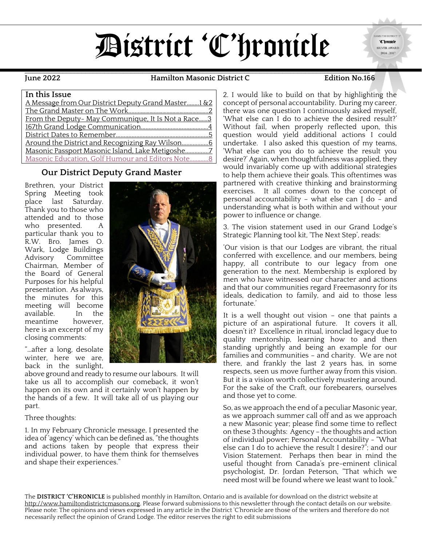# District 'C'hronicle

 $\overline{a}$  , and the set of the set of the set of the set of the set of the set of the set of the set of the set of the set of the set of the set of the set of the set of the set of the set of the set of the set of the set **June 2022 Hamilton Masonic District C Edition No.166**

'C'hronicle SILVER AWARD 2016, 2017

#### **In this Issue**

| A Message from Our District Deputy Grand Master 1 & 2 |  |
|-------------------------------------------------------|--|
|                                                       |  |
| From the Deputy- May Communique. It Is Not a Race3    |  |
|                                                       |  |
|                                                       |  |
|                                                       |  |
| Masonic Passport Masonic Island, Lake Metigoshe7      |  |
| Masonic Education, Golf Humour and Editors Note 8     |  |

#### **Our District Deputy Grand Master**

<span id="page-0-0"></span>Brethren, your District Spring Meeting took place last Saturday. Thank you to those who attended and to those who presented. A particular thank you to R.W. Bro. James O. Wark, Lodge Buildings Advisory Committee Chairman, Member of the Board of General Purposes for his helpful presentation. As always, the minutes for this meeting will become<br>available. In the available. meantime however, here is an excerpt of my closing comments:

"…after a long, desolate winter, here we are, back in the sunlight,

above ground and ready to resume our labours. It will take us all to accomplish our comeback, it won't happen on its own and it certainly won't happen by the hands of a few. It will take all of us playing our part.

#### Three thoughts:

1. In my February Chronicle message, I presented the idea of 'agency' which can be defined as, "the thoughts and actions taken by people that express their individual power, to have them think for themselves and shape their experiences."

'What else can I do to achieve the desired result?' Without fail, when properly reflected upon, this question would yield additional actions I could undertake. I also asked this question of my teams, 'What else can you do to achieve the result you desire?' Again, when thoughtfulness was applied, they would invariably come up with additional strategies to help them achieve their goals. This oftentimes was partnered with creative thinking and brainstorming exercises. It all comes down to the concept of personal accountability - what else can  $I$  do - and understanding what is both within and without your power to influence or change.

2. I would like to build on that by highlighting the concept of personal accountability. During my career, there was one question I continuously asked myself,

3. The vision statement used in our Grand Lodge's Strategic Planning tool kit, 'The Next Step', reads:

'Our vision is that our Lodges are vibrant, the ritual conferred with excellence, and our members, being happy, all contribute to our legacy from one generation to the next. Membership is explored by men who have witnessed our character and actions and that our communities regard Freemasonry for its ideals, dedication to family, and aid to those less fortunate.'

It is a well thought out vision – one that paints a picture of an aspirational future. It covers it all, doesn't it? Excellence in ritual, ironclad legacy due to quality mentorship, learning how to and then standing uprightly and being an example for our families and communities – and charity. We are not there, and frankly the last 2 years has, in some respects, seen us move further away from this vision. But it is a vision worth collectively mustering around. For the sake of the Craft, our forebearers, ourselves and those yet to come.

So, as we approach the end of a peculiar Masonic year, as we approach summer call off and as we approach a new Masonic year; please find some time to reflect on these 3 thoughts: Agency – the thoughts and action of individual power; Personal Accountability - "What else can I do to achieve the result I desire?"; and our Vision Statement. Perhaps then bear in mind the useful thought from Canada's pre-eminent clinical psychologist, Dr. Jordan Peterson, "That which we need most will be found where we least want to look."

The **DISTRICT 'C'HRONICLE** is published monthly in Hamilton, Ontario and is available for download on the district website at [http://www.hamiltondistrictcmasons.org.](http://www.hamiltondistrictcmasons.org/) Please forward submissions to this newsletter through the contact details on our website. Please note: The opinions and views expressed in any article in the District 'C'hronicle are those of the writers and therefore do not necessarily reflect the opinion of Grand Lodge. The editor reserves the right to edit submissions

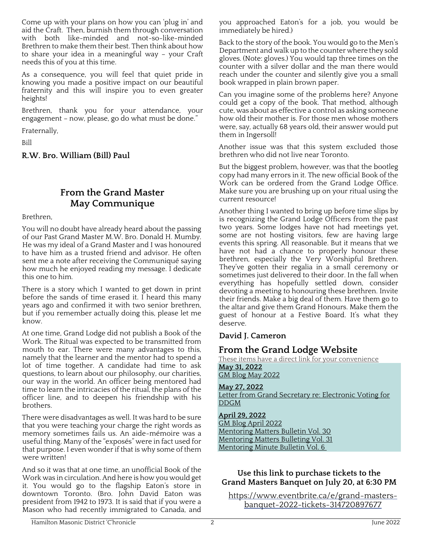Come up with your plans on how you can 'plug in' and aid the Craft. Then, burnish them through conversation with both like-minded and not-so-like-minded Brethren to make them their best. Then think about how to share your idea in a meaningful way – your Craft needs this of you at this time.

As a consequence, you will feel that quiet pride in knowing you made a positive impact on our beautiful fraternity and this will inspire you to even greater heights!

Brethren, thank you for your attendance, your engagement – now, please, go do what must be done."

Fraternally,

Bill

<span id="page-1-0"></span>**R.W. Bro. William (Bill) Paul**

## **From the Grand Master May Communique**

Brethren,

You will no doubt have already heard about the passing of our Past Grand Master M.W. Bro. Donald H. Mumby. He was my ideal of a Grand Master and I was honoured to have him as a trusted friend and advisor. He often sent me a note after receiving the Communiqué saying how much he enjoyed reading my message. I dedicate this one to him.

There is a story which I wanted to get down in print before the sands of time erased it. I heard this many years ago and confirmed it with two senior brethren, but if you remember actually doing this, please let me know.

At one time, Grand Lodge did not publish a Book of the Work. The Ritual was expected to be transmitted from mouth to ear. There were many advantages to this, namely that the learner and the mentor had to spend a lot of time together. A candidate had time to ask questions, to learn about our philosophy, our charities, our way in the world. An officer being mentored had time to learn the intricacies of the ritual, the plans of the officer line, and to deepen his friendship with his brothers.

There were disadvantages as well. It was hard to be sure that you were teaching your charge the right words as memory sometimes fails us. An aide-mémoire was a useful thing. Many of the "exposés" were in fact used for that purpose. I even wonder if that is why some of them were written!

And so it was that at one time, an unofficial Book of the Work was in circulation. And here is how you would get it. You would go to the flagship Eaton's store in downtown Toronto. (Bro. John David Eaton was president from 1942 to 1973. It is said that if you were a Mason who had recently immigrated to Canada, and you approached Eaton's for a job, you would be immediately be hired.)

Back to the story of the book. You would go to the Men's Department and walk up to the counter where they sold gloves. (Note: gloves.) You would tap three times on the counter with a silver dollar and the man there would reach under the counter and silently give you a small book wrapped in plain brown paper.

Can you imagine some of the problems here? Anyone could get a copy of the book. That method, although cute, was about as effective a control as asking someone how old their mother is. For those men whose mothers were, say, actually 68 years old, their answer would put them in Ingersoll!

Another issue was that this system excluded those brethren who did not live near Toronto.

But the biggest problem, however, was that the bootleg copy had many errors in it. The new official Book of the Work can be ordered from the Grand Lodge Office. Make sure you are brushing up on your ritual using the current resource!

Another thing I wanted to bring up before time slips by is recognizing the Grand Lodge Officers from the past two years. Some lodges have not had meetings yet, some are not hosting visitors, few are having large events this spring. All reasonable. But it means that we have not had a chance to properly honour these brethren, especially the Very Worshipful Brethren. They've gotten their regalia in a small ceremony or sometimes just delivered to their door. In the fall when everything has hopefully settled down, consider devoting a meeting to honouring these brethren. Invite their friends. Make a big deal of them. Have them go to the altar and give them Grand Honours. Make them the guest of honour at a Festive Board. It's what they deserve.

#### **David J. Cameron**

## **From the Grand Lodge Website**

These items have a direct link for your convenience **May 31, 2022** [GM Blog May 2022](https://grandlodge.on.ca/index.php/blogs/grand-masters-blog/529-gm-blog-may-2022)

**May 27, 2022**

[Letter from Grand Secretary re: Electronic Voting for](https://grandlodge.on.ca/index.php/operations/grand-lodge-documents/annual-communications/3310-electronic-voting-2022-ddgm-registration-link)  [DDGM](https://grandlodge.on.ca/index.php/operations/grand-lodge-documents/annual-communications/3310-electronic-voting-2022-ddgm-registration-link)

**April 29, 2022** [GM Blog April 2022](https://grandlodge.on.ca/index.php/blogs/grand-masters-blog/528-gm-blog-april-2022) [Mentoring Matters Bulletin Vol. 30](https://grandlodge.on.ca/index.php/operations/mentors/mentoring-matters-bulletins/3304-mentoring-matters-bulletin-vol-30) [Mentoring Matters Bulleting Vol. 31](https://grandlodge.on.ca/index.php/operations/mentors/mentoring-matters-bulletins/3305-mentoring-matters-bulletin-vol-31) [Mentoring Minute Bulletin Vol. 6](https://grandlodge.on.ca/index.php/operations/mentors/mentoring-minutes/3306-mentoring-minute-bulletin-vol-6)

#### **Use this link to purchase tickets to the Grand Masters Banquet on July 20, at 6:30 PM**

[https://www.eventbrite.ca/e/grand-masters](https://www.eventbrite.ca/e/grand-masters-banquet-2022-tickets-314720897677)[banquet-2022-tickets-314720897677](https://www.eventbrite.ca/e/grand-masters-banquet-2022-tickets-314720897677)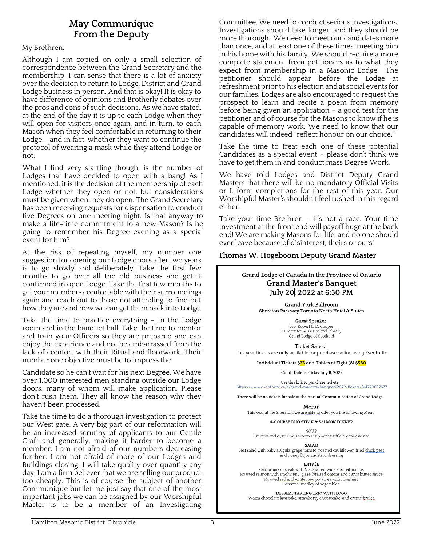#### **May Communique From the Deputy**

#### My Brethren:

Although I am copied on only a small selection of correspondence between the Grand Secretary and the membership, I can sense that there is a lot of anxiety over the decision to return to Lodge, District and Grand Lodge business in person. And that is okay! It is okay to have difference of opinions and Brotherly debates over the pros and cons of such decisions. As we have stated, at the end of the day it is up to each Lodge when they will open for visitors once again, and in turn, to each Mason when they feel comfortable in returning to their Lodge – and in fact, whether they want to continue the protocol of wearing a mask while they attend Lodge or not.

What I find very startling though, is the number of Lodges that have decided to open with a bang! As I mentioned, it is the decision of the membership of each Lodge whether they open or not, but considerations must be given when they do open. The Grand Secretary has been receiving requests for dispensation to conduct five Degrees on one meeting night. Is that anyway to make a life-time commitment to a new Mason? Is he going to remember his Degree evening as a special event for him?

At the risk of repeating myself, my number one suggestion for opening our Lodge doors after two years is to go slowly and deliberately. Take the first few months to go over all the old business and get it confirmed in open Lodge. Take the first few months to get your members comfortable with their surroundings again and reach out to those not attending to find out how they are and how we can get them back into Lodge.

Take the time to practice everything – in the Lodge room and in the banquet hall. Take the time to mentor and train your Officers so they are prepared and can enjoy the experience and not be embarrassed from the lack of comfort with their Ritual and floorwork. Their number one objective must be to impress the

Candidate so he can't wait for his next Degree. We have over 1,000 interested men standing outside our Lodge doors, many of whom will make application. Please don't rush them. They all know the reason why they haven't been processed.

Take the time to do a thorough investigation to protect our West gate. A very big part of our reformation will be an increased scrutiny of applicants to our Gentle Craft and generally, making it harder to become a member. I am not afraid of our numbers decreasing further. I am not afraid of more of our Lodges and Buildings closing. I will take quality over quantity any day. I am a firm believer that we are selling our product too cheaply. This is of course the subject of another Communique but let me just say that one of the most important jobs we can be assigned by our Worshipful Master is to be a member of an Investigating <span id="page-2-0"></span>Committee. We need to conduct serious investigations. Investigations should take longer, and they should be more thorough. We need to meet our candidates more than once, and at least one of these times, meeting him in his home with his family. We should require a more complete statement from petitioners as to what they expect from membership in a Masonic Lodge. The petitioner should appear before the Lodge at refreshment prior to his election and at social events for our families. Lodges are also encouraged to request the prospect to learn and recite a poem from memory before being given an application – a good test for the petitioner and of course for the Masons to know if he is capable of memory work. We need to know that our candidates will indeed "reflect honour on our choice."

Take the time to treat each one of these potential Candidates as a special event – please don't think we have to get them in and conduct mass Degree Work.

We have told Lodges and District Deputy Grand Masters that there will be no mandatory Official Visits or L-form completions for the rest of this year. Our Worshipful Master's shouldn't feel rushed in this regard either.

Take your time Brethren – it's not a race. Your time investment at the front end will payoff huge at the back end! We are making Masons for life, and no one should ever leave because of disinterest, theirs or ours!

#### **Thomas W. Hogeboom Deputy Grand Master**

Grand Lodge of Canada in the Province of Ontario **Grand Master's Banquet** July 20, 2022 at 6:30 PM

> Grand York Ballroom Sheraton Parkway Toronto North Hotel & Suites

> > Guest Speaker: Bro. Robert L. D. Cooper Curator for Museum and Library Grand Lodge of Scotland

**Ticket Sales:** This year tickets are only available for purchase online using Eventbrite

Individual Tickets \$75 and Tables of Eight (8) \$580

Cutoff Date is Friday July 8, 2022

Use this link to purchase tickets: https://www.eventbrite.ca/e/grand-masters-banquet-2022-tickets-314720897677

There will be no tickets for sale at the Annual Communication of Grand Lodge

Menu:

This year at the Sheraton, we are able to offer you the following Menu:

4-COURSE DUO STEAK & SALMON DINNER

SOUP Cremini and oyster mushroom soup with truffle cream essence

**SALAD** 

Leaf salad with baby arugula, grape tomato, roasted cauliflower, fried chick peas<br>and honey Dijon mustard dressing

ENTRÉE

California cut steak with Niagara red wine and natural jus Roasted salmon with smoky BBQ glaze, braised onions and citrus butter sauce Roasted red and white new potatoes with rosemary<br>Seasonal medley of vegetables

DESSERT TASTING TRIO WITH LOGO

Warm chocolate lava cake, strawberry cheesecake, and crème brûlée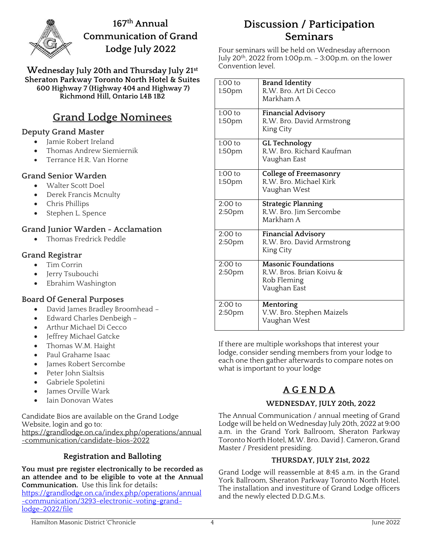<span id="page-3-0"></span>

**167 th Annual Communication of Grand Lodge July 2022**

**Wednesday July 20th and Thursday July 21st Sheraton Parkway Toronto North Hotel & Suites 600 Highway 7 (Highway 404 and Highway 7) Richmond Hill, Ontario L4B 1B2**

## **Grand Lodge Nominees**

#### **Deputy Grand Master**

- Jamie Robert Ireland
- Thomas Andrew Siemiernik
- Terrance H.R. Van Horne

#### **Grand Senior Warden**

- Walter Scott Doel
- Derek Francis Mcnulty
- Chris Phillips
- Stephen L. Spence

#### **Grand Junior Warden - Acclamation**

• Thomas Fredrick Peddle

#### **Grand Registrar**

- Tim Corrin
- Jerry Tsubouchi
- Ebrahim Washington

#### **Board Of General Purposes**

- David James Bradley Broomhead –
- Edward Charles Denbeigh –
- Arthur Michael Di Cecco
- Jeffrey Michael Gatcke
- Thomas W.M. Haight
- Paul Grahame Isaac
- James Robert Sercombe
- Peter John Sialtsis
- Gabriele Spoletini
- James Orville Wark
- Iain Donovan Wates

Candidate Bios are available on the Grand Lodge Website, login and go to: [https://grandlodge.on.ca/index.php/operations/annual](https://grandlodge.on.ca/index.php/operations/annual-communication/candidate-bios-2022) [-communication/candidate-bios-2022](https://grandlodge.on.ca/index.php/operations/annual-communication/candidate-bios-2022)

#### **Registration and Balloting**

**You must pre register electronically to be recorded as an attendee and to be eligible to vote at the Annual Communication.** Use this link for details**:**

[https://grandlodge.on.ca/index.php/operations/annual](https://grandlodge.on.ca/index.php/operations/annual-communication/3293-electronic-voting-grand-lodge-2022/file) [-communication/3293-electronic-voting-grand](https://grandlodge.on.ca/index.php/operations/annual-communication/3293-electronic-voting-grand-lodge-2022/file)[lodge-2022/file](https://grandlodge.on.ca/index.php/operations/annual-communication/3293-electronic-voting-grand-lodge-2022/file)

## **Discussion / Participation Seminars**

Four seminars will be held on Wednesday afternoon July 20<sup>th</sup>, 2022 from 1:00p.m.  $-$  3:00p.m. on the lower Convention level.

| $1:00$ to          |                               |
|--------------------|-------------------------------|
|                    | <b>Brand Identity</b>         |
| 1:50pm             | R.W. Bro. Art Di Cecco        |
|                    | Markham A                     |
|                    |                               |
| $1:00$ to          | <b>Financial Advisory</b>     |
| 1:50pm             | R.W. Bro. David Armstrong     |
|                    | King City                     |
|                    |                               |
| $1:00$ to          | <b>GL Technology</b>          |
| 1:50pm             | R.W. Bro. Richard Kaufman     |
|                    | Vaughan East                  |
|                    |                               |
| $1:00$ to          | <b>College of Freemasonry</b> |
| 1:50pm             | R.W. Bro. Michael Kirk        |
|                    |                               |
|                    | Vaughan West                  |
| $2:00$ to          | <b>Strategic Planning</b>     |
| 2:50pm             | R.W. Bro. Jim Sercombe        |
|                    | Markham A                     |
|                    |                               |
| $2:00$ to          | <b>Financial Advisory</b>     |
| 2:50 <sub>pm</sub> | R.W. Bro. David Armstrong     |
|                    | King City                     |
|                    |                               |
| $2:00$ to          | <b>Masonic Foundations</b>    |
| 2:50 <sub>pm</sub> | R.W. Bros. Brian Koivu &      |
|                    | Rob Fleming                   |
|                    |                               |
|                    | Vaughan East                  |
| $2:00$ to          | Mentoring                     |
|                    | V.W. Bro. Stephen Maizels     |
| 2:50 <sub>pm</sub> |                               |
|                    | Vaughan West                  |

If there are multiple workshops that interest your lodge, consider sending members from your lodge to each one then gather afterwards to compare notes on what is important to your lodge

## **A G E N D A**

#### **WEDNESDAY, JULY 20th, 2022**

The Annual Communication / annual meeting of Grand Lodge will be held on Wednesday July 20th, 2022 at 9:00 a.m. in the Grand York Ballroom, Sheraton Parkway Toronto North Hotel, M.W. Bro. David J. Cameron, Grand Master / President presiding.

#### **THURSDAY, JULY 21st, 2022**

Grand Lodge will reassemble at 8:45 a.m. in the Grand York Ballroom, Sheraton Parkway Toronto North Hotel. The installation and investiture of Grand Lodge officers and the newly elected D.D.G.M.s.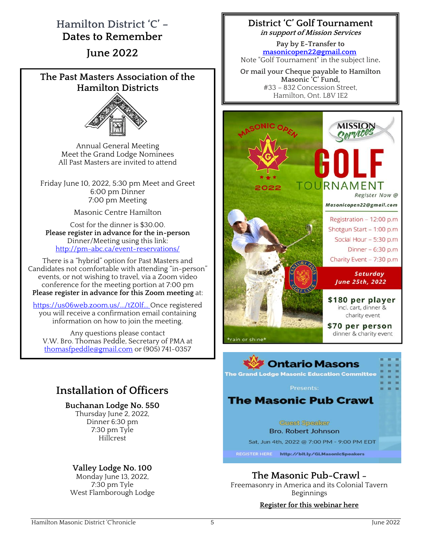## <span id="page-4-0"></span>**Hamilton District 'C' – Dates to Remember**

**June 2022**

#### **The Past Masters Association of the Hamilton Districts**



Annual General Meeting Meet the Grand Lodge Nominees All Past Masters are invited to attend

Friday June 10, 2022, 5:30 pm Meet and Greet 6:00 pm Dinner 7:00 pm Meeting

Masonic Centre Hamilton

Cost for the dinner is \$30.00. **Please register in advance for the in-person** Dinner/Meeting using this link: [http://pm-abc.ca/event-reservations/](http://pm-abc.ca/event-reservations/?fbclid=IwAR3gmUlikHh8HahIqs766RTM1M0vgdXjvSL-WBlJOkJQuYO2OONpVe2DyYY)

There is a "hybrid" option for Past Masters and Candidates not comfortable with attending "in-person" events, or not wishing to travel, via a Zoom video conference for the meeting portion at 7:00 pm **Please register in advance for this Zoom meeting** at:

[https://us06web.zoom.us/.../tZ0lf...](https://us06web.zoom.us/meeting/register/tZ0lf-utqjovHNBhxWb1AwdfmFdGqd4K1AS6?fbclid=IwAR1l0B1eZYi-VSpzbyHCb9bXubmd7rDt5tv-v9i3qXwn5c3aAcIDp-z6_DQ) Once registered you will receive a confirmation email containing information on how to join the meeting.

Any questions please contact V.W. Bro. Thomas Peddle, Secretary of PMA at [thomasfpeddle@gmail.com](mailto:thomasfpeddle@gmail.com) or (905) 741-0357

## **Installation of Officers**

**Buchanan Lodge No. 550**

Thursday June 2, 2022, Dinner 6:30 pm 7:30 pm Tyle Hillcrest

### **Valley Lodge No. 100**

Monday June 13, 2022, 7:30 pm Tyle West Flamborough Lodge

#### **District 'C' Golf Tournament in support of Mission Services**

**Pay by E-Transfer to [masonicopen22@gmail.com](mailto:masonicopen22@gmail.com)** Note "Golf Tournament" in the subject line**.**

**Or mail your Cheque payable to Hamilton Masonic 'C' Fund,** #33 – 832 Concession Street, Hamilton, Ont. L8V 1E2



**Bro. Robert Johnson** Sat, Jun 4th, 2022 @ 7:00 PM - 9:00 PM EDT

REGISTER HERE http://bit.ly/GLMasonicSpeakers

**The Masonic Pub-Crawl –**

Freemasonry in America and its Colonial Tavern Beginnings

#### **[Register for this webinar here](https://register.gotowebinar.com/register/6124491289747219215)**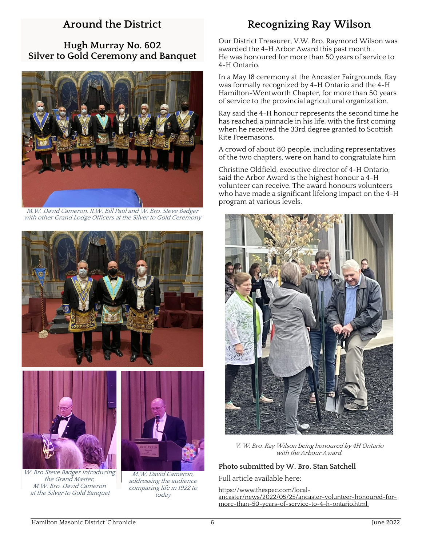## **Around the District**

<span id="page-5-0"></span>**Hugh Murray No. 602 Silver to Gold Ceremony and Banquet**



M.W. David Cameron, R.W. Bill Paul and W. Bro. Steve Badger with other Grand Lodge Officers at the Silver to Gold Ceremony





W. Bro Steve Badger introducing the Grand Master, M.W. Bro. David Cameron at the Silver to Gold Banquet



M.W. David Cameron, addressing the audience comparing life in 1922 to today

## **Recognizing Ray Wilson**

Our District Treasurer, V.W. Bro. Raymond Wilson was awarded the 4-H Arbor Award this past month . He was honoured for more than 50 years of service to 4-H Ontario.

In a May 18 ceremony at the Ancaster Fairgrounds, Ray was formally recognized by 4-H Ontario and the 4-H Hamilton-Wentworth Chapter, for more than 50 years of service to the provincial agricultural organization.

Ray said the 4-H honour represents the second time he has reached a pinnacle in his life, with the first coming when he received the 33rd degree granted to Scottish Rite Freemasons.

A crowd of about 80 people, including representatives of the two chapters, were on hand to congratulate him

Christine Oldfield, executive director of 4-H Ontario, said the Arbor Award is the highest honour a 4-H volunteer can receive. The award honours volunteers who have made a significant lifelong impact on the 4-H program at various levels.



V. W. Bro. Ray Wilson being honoured by 4H Ontario with the Arbour Award.

#### **Photo submitted by W. Bro. Stan Satchell**

Full article available here:

[https://www.thespec.com/local](https://www.thespec.com/local-ancaster/news/2022/05/25/ancaster-volunteer-honoured-for-more-than-50-years-of-service-to-4-h-ontario.html,)[ancaster/news/2022/05/25/ancaster-volunteer-honoured-for](https://www.thespec.com/local-ancaster/news/2022/05/25/ancaster-volunteer-honoured-for-more-than-50-years-of-service-to-4-h-ontario.html,)[more-than-50-years-of-service-to-4-h-ontario.html,](https://www.thespec.com/local-ancaster/news/2022/05/25/ancaster-volunteer-honoured-for-more-than-50-years-of-service-to-4-h-ontario.html,)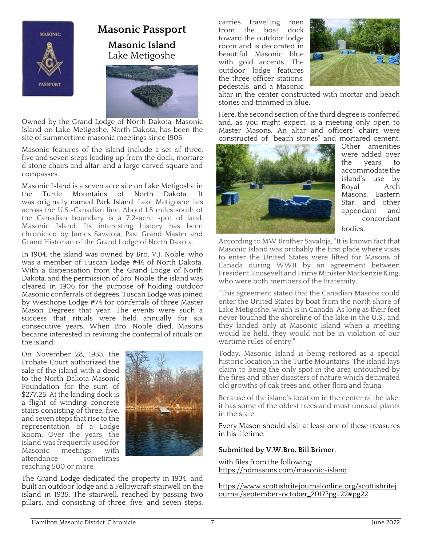

## <span id="page-6-0"></span>**Masonic Passport Masonic Island** Lake Metigoshe



Owned by the Grand Lodge of North Dakota, Masonic Island on Lake Metigoshe, North Dakota, has been the site of summertime masonic meetings since 1905.

Masonic features of the island include a set of three, five and seven steps leading up from the dock, mortare d stone chairs and altar, and a large carved square and compasses.

Masonic Island is a seven acre site on Lake Metigoshe in<br>the Turtle Mountains of North Dakota. It the Turtle Mountains of North Dakota. It was originally named Park Island. Lake Metigoshe lies across the U.S.-Canadian line. About 1.5 miles south of the Canadian boundary is a 7.2-acre spot of land, Masonic Island. Its interesting history has been chronicled by James Savaloja, Past Grand Master and Grand Historian of the Grand Lodge of North Dakota.

In 1904, the island was owned by Bro. V.J. Noble, who was a member of Tuscan Lodge #44 of North Dakota. With a dispensation from the Grand Lodge of North Dakota, and the permission of Bro. Noble, the island was cleared in 1906 for the purpose of holding outdoor Masonic conferrals of degrees. Tuscan Lodge was joined by Westhope Lodge #74 for conferrals of three Master Mason Degrees that year. The events were such a success that rituals were held annually for six consecutive years. When Bro. Noble died, Masons became interested in reviving the conferral of rituals on the island.

On November 28, 1933, the Probate Court authorized the sale of the island with a deed to the North Dakota Masonic Foundation for the sum of \$277.25. At the landing dock is a flight of winding concrete stairs consisting of three, five, and seven steps that rise to the representation of a Lodge Room. Over the years, the island was frequently used for<br>Masonic meetings, with meetings, attendance sometimes reaching 500 or more.



The Grand Lodge dedicated the property in 1934, and built an outdoor lodge and a Fellowcraft stairwell on the island in 1935. The stairwell, reached by passing two pillars, and consisting of three, five, and seven steps,

carries travelling men<br>from the boat dock boat dock toward the outdoor lodge room and is decorated in beautiful Masonic blue with gold accents. The outdoor lodge features the three officer stations, pedestals, and a Masonic



altar in the center constructed with mortar and beach stones and trimmed in blue.

Here, the second section of the third degree is conferred and, as you might expect, is a meeting only open to Master Masons. An altar and officers' chairs were constructed of "beach stones" and mortared cement.



Other amenities were added over<br>the vears to years to accommodate the island's use by Royal Arch Masons, Eastern Star, and other appendant and concordant bodies.

According to MW Brother Savaloja, "It is known fact that Masonic Island was probably the first place where visas to enter the United States were lifted for Masons of Canada during WWII by an agreement between President Roosevelt and Prime Minister Mackenzie King, who were both members of the Fraternity.

"This agreement stated that the Canadian Masons could enter the United States by boat from the north shore of Lake Metigoshe, which is in Canada. As long as their feet never touched the shoreline of the lake in the U.S., and they landed only at Masonic Island when a meeting would be held, they would not be in violation of our wartime rules of entry."

Today, Masonic Island is being restored as a special historic location in the Turtle Mountains. The island lays claim to being the only spot in the area untouched by the fires and other disasters of nature which decimated old growths of oak trees and other flora and fauna.

Because of the island's location in the center of the lake, it has some of the oldest trees and most unusual plants in the state.

Every Mason should visit at least one of these treasures in his lifetime.

#### **Submitted by V.W.Bro. Bill Brimer**,

with files from the following: <https://ndmasons.com/masonic-island>

[https://www.scottishritejournalonline.org/scottishritej](https://www.scottishritejournalonline.org/scottishritejournal/september-october_2017?pg=22#pg22) [ournal/september-october\\_2017?pg=22#pg22](https://www.scottishritejournalonline.org/scottishritejournal/september-october_2017?pg=22#pg22)